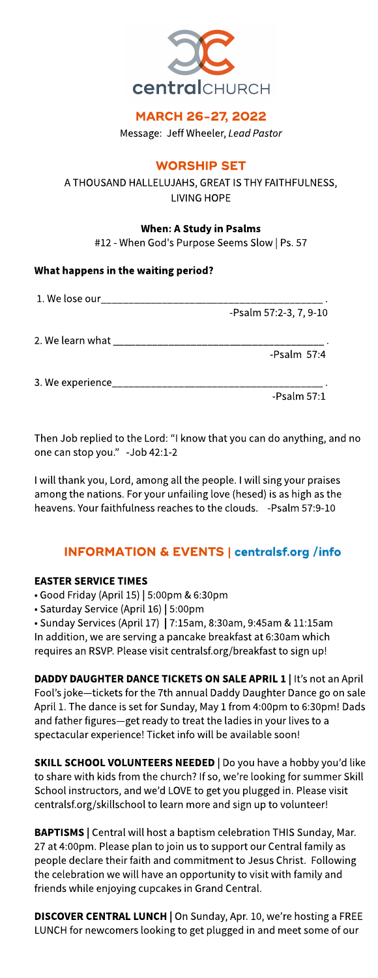

## MARCH 26-27, 2022

Message: Jeff Wheeler, Lead Pastor

# **WORSHIP SET**

A THOUSAND HALLELUJAHS, GREAT IS THY FAITHFULNESS, LIVING HOPE

## When: A Study in Psalms

#12 - When God's Purpose Seems Slow | Ps. 57

## What happens in the waiting period?

|                                                                                                                | -Psalm 57:2-3, 7, 9-10 |
|----------------------------------------------------------------------------------------------------------------|------------------------|
| 2. We learn what the control of the control of the control of the control of the control of the control of the |                        |
|                                                                                                                | -Psalm $57:4$          |
| 3. We experience the control of the control of the control of the control of the control of the control of the |                        |
|                                                                                                                | -Psalm $57:1$          |

Then Job replied to the Lord: "I know that you can do anything, and no one can stop you.? -Job 42:1-2

I will thank you, Lord, among all the people. I will sing your praises among the nations. For your unfailing love (hesed) is as high as the heavens. Your faithfulness reaches to the clouds. - Psalm 57:9-10

# INFORMATION& EVENTS| **[centralsf.org/info](http://centralsf.org/info)**

## **EASTER SERVICE TIMES**

• Good Friday (April 15) | 5:00pm & 6:30pm

- Saturday Service (April 16) | 5:00pm

- Sunday Services(April 17) | 7:15am, 8:30am, 9:45am &11:15am In addition, we are serving a pancake breakfast at 6:30am which requires an RSVP. Please visit centralsf.org/breakfast to sign up!

DADDY DAUGHTER DANCE TICKETS ON SALE APRIL 1 | It's not an April Fool's joke-tickets for the 7th annual Daddy Daughter Dance go on sale April 1. The dance is set for Sunday, May 1 from 4:00pm to 6:30pm! Dads and father figures-get ready to treat the ladies in your lives to a spectacular experience! Ticket info will be available soon!

SKILL SCHOOL VOLUNTEERS NEEDED | Do you have a hobby you'd like to share with kids from the church? If so, we're looking for summer Skill School instructors, and we'd LOVE to get you plugged in. Please visit centralsf.org/skillschool to learn more and sign up to volunteer!

BAPTISMS | Central will host a baptism celebration THIS Sunday, Mar. 27 at 4:00pm. Please plan to join us to support our Central family as people declare their faith and commitment to JesusChrist. Following the celebration we will have an opportunity to visit with family and friends while enjoying cupcakes in Grand Central.

DISCOVER CENTRAL LUNCH | On Sunday, Apr. 10, we're hosting a FREE LUNCH for newcomers looking to get plugged in and meet some of our